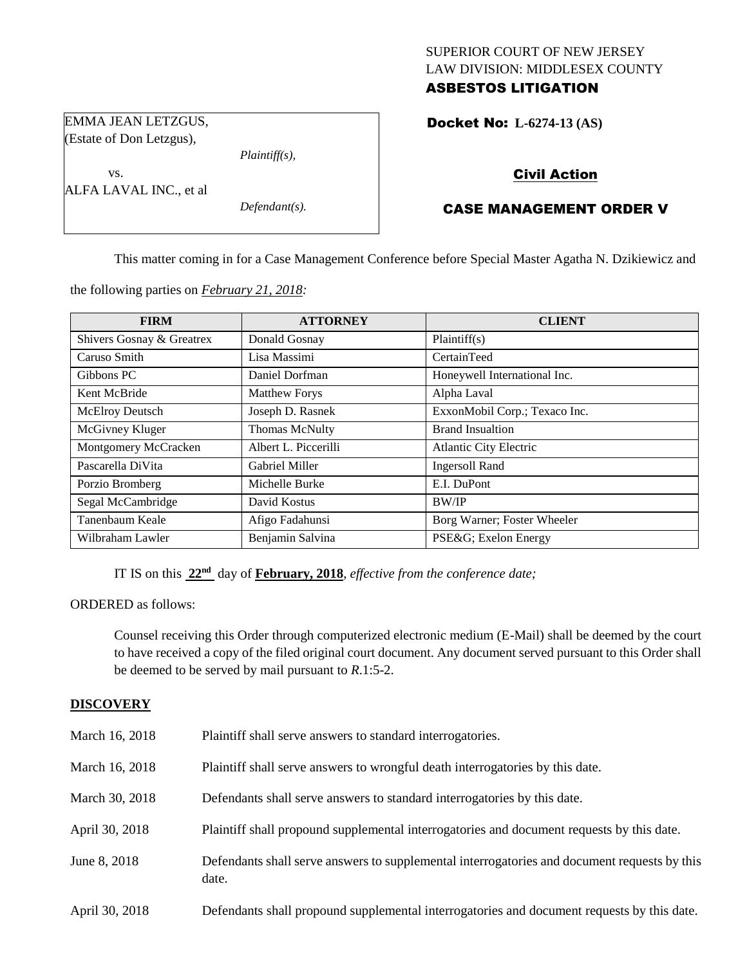# SUPERIOR COURT OF NEW JERSEY LAW DIVISION: MIDDLESEX COUNTY ASBESTOS LITIGATION

Docket No: **L-6274-13 (AS)** 

EMMA JEAN LETZGUS, (Estate of Don Letzgus),

ALFA LAVAL INC., et al

vs.

*Plaintiff(s),*

*Defendant(s).*

Civil Action

CASE MANAGEMENT ORDER V

This matter coming in for a Case Management Conference before Special Master Agatha N. Dzikiewicz and

the following parties on *February 21, 2018:*

| <b>FIRM</b>               | <b>ATTORNEY</b>       | <b>CLIENT</b>                 |
|---------------------------|-----------------------|-------------------------------|
| Shivers Gosnay & Greatrex | Donald Gosnay         | Plaintiff(s)                  |
| Caruso Smith              | Lisa Massimi          | CertainTeed                   |
| Gibbons PC                | Daniel Dorfman        | Honeywell International Inc.  |
| Kent McBride              | <b>Matthew Forys</b>  | Alpha Laval                   |
| McElroy Deutsch           | Joseph D. Rasnek      | ExxonMobil Corp.; Texaco Inc. |
| McGivney Kluger           | <b>Thomas McNulty</b> | <b>Brand Insualtion</b>       |
| Montgomery McCracken      | Albert L. Piccerilli  | <b>Atlantic City Electric</b> |
| Pascarella DiVita         | <b>Gabriel Miller</b> | <b>Ingersoll Rand</b>         |
| Porzio Bromberg           | Michelle Burke        | E.I. DuPont                   |
| Segal McCambridge         | David Kostus          | <b>BW/IP</b>                  |
| Tanenbaum Keale           | Afigo Fadahunsi       | Borg Warner; Foster Wheeler   |
| Wilbraham Lawler          | Benjamin Salvina      | PSE&G Exelon Energy           |

IT IS on this **22nd** day of **February, 2018**, *effective from the conference date;*

ORDERED as follows:

Counsel receiving this Order through computerized electronic medium (E-Mail) shall be deemed by the court to have received a copy of the filed original court document. Any document served pursuant to this Order shall be deemed to be served by mail pursuant to *R*.1:5-2.

# **DISCOVERY**

| March 16, 2018 | Plaintiff shall serve answers to standard interrogatories.                                            |
|----------------|-------------------------------------------------------------------------------------------------------|
| March 16, 2018 | Plaintiff shall serve answers to wrongful death interrogatories by this date.                         |
| March 30, 2018 | Defendants shall serve answers to standard interrogatories by this date.                              |
| April 30, 2018 | Plaintiff shall propound supplemental interrogatories and document requests by this date.             |
| June 8, 2018   | Defendants shall serve answers to supplemental interrogatories and document requests by this<br>date. |
| April 30, 2018 | Defendants shall propound supplemental interrogatories and document requests by this date.            |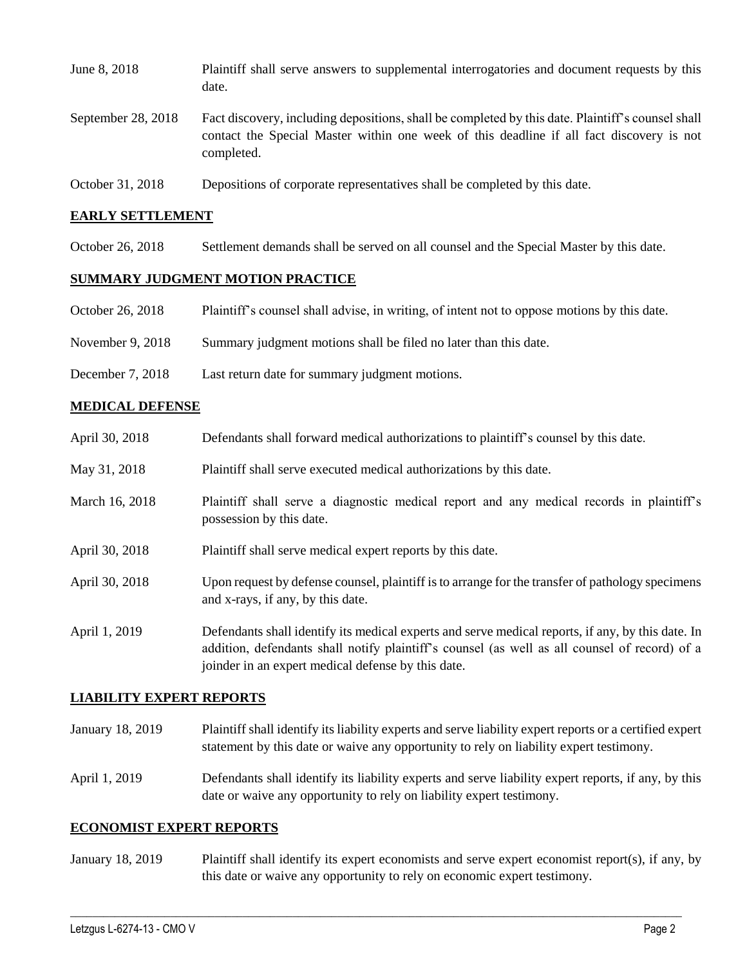| June 8, 2018       | Plaintiff shall serve answers to supplemental interrogatories and document requests by this<br>date.                                                                                                        |
|--------------------|-------------------------------------------------------------------------------------------------------------------------------------------------------------------------------------------------------------|
| September 28, 2018 | Fact discovery, including depositions, shall be completed by this date. Plaintiff's counsel shall<br>contact the Special Master within one week of this deadline if all fact discovery is not<br>completed. |
| October 31, 2018   | Depositions of corporate representatives shall be completed by this date.                                                                                                                                   |

## **EARLY SETTLEMENT**

October 26, 2018 Settlement demands shall be served on all counsel and the Special Master by this date.

## **SUMMARY JUDGMENT MOTION PRACTICE**

- October 26, 2018 Plaintiff's counsel shall advise, in writing, of intent not to oppose motions by this date.
- November 9, 2018 Summary judgment motions shall be filed no later than this date.
- December 7, 2018 Last return date for summary judgment motions.

#### **MEDICAL DEFENSE**

| April 30, 2018 | Defendants shall forward medical authorizations to plaint if a counsel by this date.                                                                                                               |
|----------------|----------------------------------------------------------------------------------------------------------------------------------------------------------------------------------------------------|
| May 31, 2018   | Plaintiff shall serve executed medical authorizations by this date.                                                                                                                                |
| March 16, 2018 | Plaintiff shall serve a diagnostic medical report and any medical records in plaintiff's<br>possession by this date.                                                                               |
| April 30, 2018 | Plaintiff shall serve medical expert reports by this date.                                                                                                                                         |
| April 30, 2018 | Upon request by defense counsel, plaintiff is to arrange for the transfer of pathology specimens<br>and x-rays, if any, by this date.                                                              |
| April 1, 2019  | Defendants shall identify its medical experts and serve medical reports, if any, by this date. In<br>addition, defendants shall notify plaintiff's counsel (as well as all counsel of record) of a |

#### **LIABILITY EXPERT REPORTS**

January 18, 2019 Plaintiff shall identify its liability experts and serve liability expert reports or a certified expert statement by this date or waive any opportunity to rely on liability expert testimony.

joinder in an expert medical defense by this date.

April 1, 2019 Defendants shall identify its liability experts and serve liability expert reports, if any, by this date or waive any opportunity to rely on liability expert testimony.

#### **ECONOMIST EXPERT REPORTS**

January 18, 2019 Plaintiff shall identify its expert economists and serve expert economist report(s), if any, by this date or waive any opportunity to rely on economic expert testimony.

 $\_$  ,  $\_$  ,  $\_$  ,  $\_$  ,  $\_$  ,  $\_$  ,  $\_$  ,  $\_$  ,  $\_$  ,  $\_$  ,  $\_$  ,  $\_$  ,  $\_$  ,  $\_$  ,  $\_$  ,  $\_$  ,  $\_$  ,  $\_$  ,  $\_$  ,  $\_$  ,  $\_$  ,  $\_$  ,  $\_$  ,  $\_$  ,  $\_$  ,  $\_$  ,  $\_$  ,  $\_$  ,  $\_$  ,  $\_$  ,  $\_$  ,  $\_$  ,  $\_$  ,  $\_$  ,  $\_$  ,  $\_$  ,  $\_$  ,